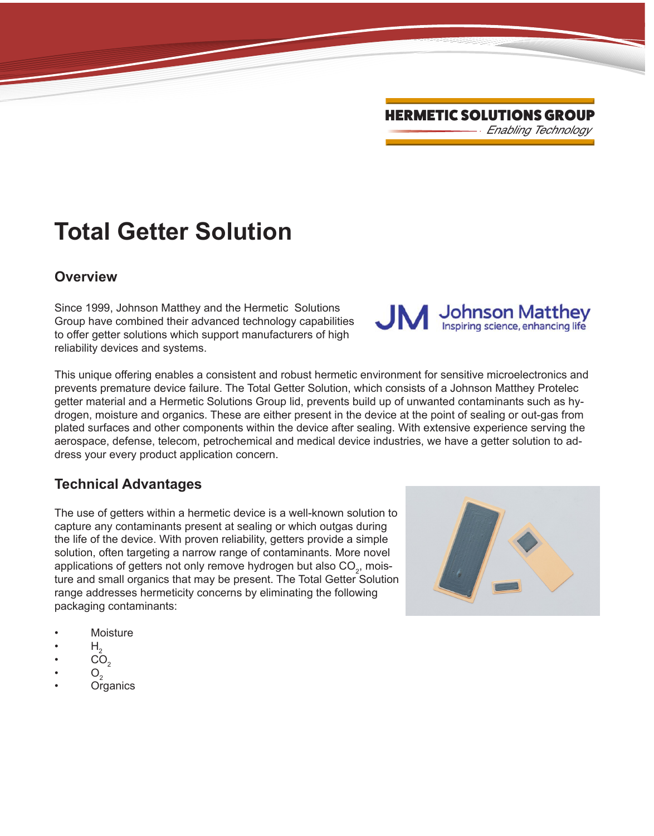# **Total Getter Solution**

#### **Overview**

Since 1999, Johnson Matthey and the Hermetic Solutions Group have combined their advanced technology capabilities to offer getter solutions which support manufacturers of high reliability devices and systems.

This unique offering enables a consistent and robust hermetic environment for sensitive microelectronics and prevents premature device failure. The Total Getter Solution, which consists of a Johnson Matthey Protelec getter material and a Hermetic Solutions Group lid, prevents build up of unwanted contaminants such as hydrogen, moisture and organics. These are either present in the device at the point of sealing or out-gas from plated surfaces and other components within the device after sealing. With extensive experience serving the aerospace, defense, telecom, petrochemical and medical device industries, we have a getter solution to address your every product application concern.

### **Technical Advantages**

The use of getters within a hermetic device is a well-known solution to capture any contaminants present at sealing or which outgas during the life of the device. With proven reliability, getters provide a simple solution, often targeting a narrow range of contaminants. More novel applications of getters not only remove hydrogen but also CO $_{\textrm{\tiny{2}}}$ , moisture and small organics that may be present. The Total Getter Solution range addresses hermeticity concerns by eliminating the following packaging contaminants:

- **Moisture**
- $H_{\circ}$
- $CO<sub>2</sub>$
- $O_2$
- **Organics**